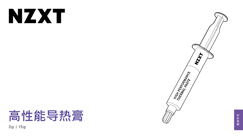# NXX

## 高性能导热膏 3g | 15g



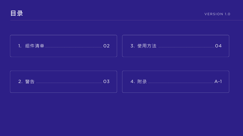







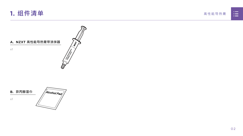





Alcohol Pad **B. 异丙醇湿巾**

<span id="page-2-0"></span>**1. 组件清单**

x1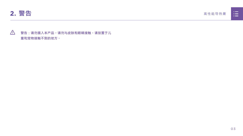<span id="page-3-0"></span>

## **警告:请勿摄入本产品。请勿与皮肤和眼睛接触。请放置于儿 童和宠物接触不到的地方。**



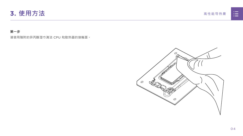<span id="page-4-0"></span>

#### **第一步**

请使用随附的异丙醇湿巾清洁 CPU 和散热器的接触面。



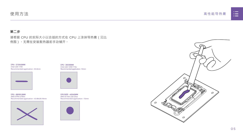高性能导热膏





#### **第二步**

请根据 CPU 的实际大小以合适的方式在 CPU 上涂抹导热膏 (见比 例图)。无需在安装散热器前手动铺开。

### **使用方法**

**CPU - 35X35MM** Intel LGA 1200/115x Recommended application : 10mm



**CPU SIZE - 40X40MM** AM4 & Intel LGA 20xx Recommended application : 15mm



**CPU - 68X50.5MM** AMD STR4/sTRX4



**CPU - 37.5X45MM** Intel LGA 1700 Recommended application : 25.8mm

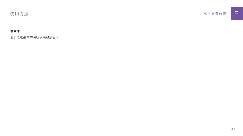



#### **第三步**

请按照制造商的说明安装散热器。

## **使用方法**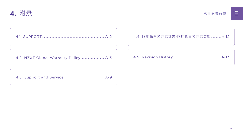

高性能导热膏

<span id="page-7-0"></span>

[4.2 NZXT Global Warranty Policy................................](#page-9-0) A-3



|  | n poster                                                                                       |  |
|--|------------------------------------------------------------------------------------------------|--|
|  |                                                                                                |  |
|  | <u> Timbu ku shekara ta 1989 a shekara ta 1989 a shekara ta 1989 a shekara ta 1989 a Tsara</u> |  |
|  |                                                                                                |  |

[4.3 Support and Service.......................................................A-9](#page-15-0)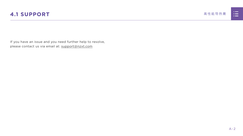

<span id="page-8-0"></span>If you have an issue and you need further help to resolve, please contact us via email at: support@nzxt.com



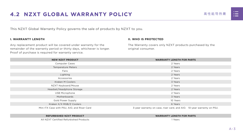



## <span id="page-9-0"></span>**4.2 NZXT GLOBAL WARRANTY POLICY THE CONSTRUCT THE CONSTRUCT AND 高性能导热膏**

This NZXT Global Warranty Policy governs the sale of products by NZXT to you.

#### **I. WARRANTY LENGTH**

Any replacement product will be covered under warranty for the remainder of the warranty period or thirty days, whichever is longer. Proof of purchase is required for warranty service.

#### **II. WHO IS PROTECTED**

The Warranty covers only NZXT products purchased by the original consumer.

| <b>NEW NZXT PRODUCT</b>                     | <b>WARRANTY LENGTH FOR PARTS</b>                                       |
|---------------------------------------------|------------------------------------------------------------------------|
| <b>Computer Cases</b>                       | 2 Years                                                                |
| <b>Temperature Meters</b>                   | 2 Years                                                                |
| Fans                                        | 2 Years                                                                |
| Lighting                                    | 2 Years                                                                |
| Accessories                                 | 2 Years                                                                |
| <b>Kraken M Coolers</b>                     | 3 Years                                                                |
| NZXT Keyboard/Mouse                         | 2 Years                                                                |
| Headset/Headphone Storage                   | 2 Years                                                                |
| <b>USB Microphone</b>                       | 2 Years                                                                |
| Motherboards                                | 3 Years                                                                |
| <b>Gold Power Supply</b>                    | 10 Years                                                               |
| Kraken X/X RGB/Z Coolers                    | 6 Years                                                                |
| Mini ITX Case with PSU, AIO, and Riser Card | 3-year warranty on case, riser card, and AIO. 10-year warranty on PSU. |

#### **REFURBISHED NZXT PRODUCT WARRANTY LENGTH FOR PARTS**





All NZXT Certified Refurbished Products 1 Years

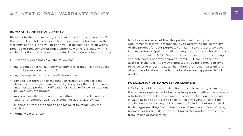高性能导热膏

#### **III. WHAT IS AND IS NOT COVERED**

Please note that our warranty is not an unconditional guarantee. If the product, in NZXT's reasonable opinion, malfunctions within the warranty period, NZXT will provide you at its sole discretion with a repaired or replacement product, either new or refurbished, with a similar function that is equal or greater in value depending on supply.

Our warranty does not cover the following:

- any product or serial number/warranty sticker modification applied without permission from NZXT;
- any damage that is not a manufacturing defect;
- damage, deterioration or malfunction resulting from: accident, abuse, misuse, neglect, fire, water, lightning, or other acts of nature, unauthorized product modification or failure to follow instructions included with the product;
- improper installation, unauthorized alterations or modifications, or repair or attempted repair by anyone not authorized by NZXT;
- shipping or transport damage (claims must be made with the carrier);
- normal wear and tear.

NZXT does not warrant that this product will meet your requirements. It is your responsibility to determine the suitability of this product for your purpose. For NZXT Store orders, we cover two way return shipping for all exchanges and returns. For all other authorized dealers, NZXT Support does not cover return shipping and only covers one way shipping from NZXT back to the end user for exchanges. Two way expedited shipping is provided for all PSUs covered under the Less Than Three program, indiscriminate of purchase location, provided the location is an approved NZXT reseller.

#### **IV. EXCLUSION OF DAMAGES (DISCLAIMER)**

NZXT's sole obligation and liability under this warranty is limited to the repair or replacement of a defective product with either a new or refurbished product with a similar function that is equal or greater in value at our option. NZXT shall not, in any event, be liable for any incidental or consequential damage, including but not limited to damages resulting from interruption of service and loss of data, business, or for liability in tort relating to this product or resulting from its use or possession.

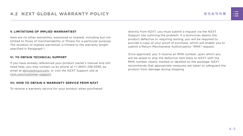

#### **V. LIMITATIONS OF IMPLIED WARRANTIEST**

Here are no other warranties, expressed or implied, including but not limited to those of merchantability or fitness for a particular purpose. The duration of implied warranties is limited to the warranty length specified in Paragraph I.

#### **VI. TO OBTAIN TECHNICAL SUPPORT**

If you have already referenced your product owner's manual and still need help, you may contact us by phone at +1 (800) 228-9395, by email at [service@nzxt.com](mailto:service%40nzxt.com?subject=), or visit the NZXT Support site at [nzxt.com/customer-support.](http://nzxt.com/customer-support)

#### **VII. HOW TO OBTAIN A WARRANTY SERVICE FROM NZXT**

To receive a warranty service for your product when purchased

directly from NZXT, you must submit a request via the NZXT Support site outlining the problem. If a technician deems the product defective or requiring testing, you will be required to provide a copy of your proof of purchase, which will enable you to submit a Return Merchandise Authorization "RMA" request.

Once approved, you`ll receive an RMA number, upon which you will be asked to ship the defective item back to NZXT with the RMA number clearly marked or labelled on the package. NZXT recommends that appropriate measures are taken to safeguard the product from damage during shipping.

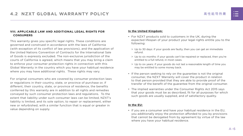高性能导热膏

#### **VIII. APPLICABLE LAW AND ADDITIONAL LEGAL RIGHTS FOR CONSUMERS**

This warranty gives you specific legal rights. These conditions are governed and construed in accordance with the laws of California (with exception of its conflict of law provisions), and the application of the United Nations Convention of Contracts for the International Sale of Goods is expressly excluded. The non-exclusive jurisdiction of the courts of California is agreed, which means that you may bring a claim to enforce your consumer protection rights in connection with this Global Warranty in the country which you have your habitual residence where you may have additional rights. These rights may vary.

For original consumers who are covered by consumer protection laws or regulations in their country, state, or province of purchase or, if different, their country, state, or province of residence, the benefits conferred by this warranty are in addition to all rights and remedies conveyed by such consumer protection laws and regulations. To the extent that liability under such consumer laws can be limited, NZXT's liability is limited, and its sole option, to repair or replacement, either new or refurbished, with a similar function that is equal or greater in value depending on supply.

#### **In the United Kingdom:**

- For NZXT products sold to customers in the UK, during the expected lifespan of your product your legal rights entitle you to the following:
	- > Up to 30 days: if your goods are faulty, then you can get an immediate refund.
	- > Up to six months: if your goods can't be repaired or replaced, then you're entitled to a full refund, in most cases.
	- > Up to six years: if your goods do not last a reasonable length of time you may be entitled to some money back.
- If the person seeking to rely on the guarantee is not the original consumer, the NZXT Warranty will cover the product in relation to that person provided that they are able to provide proof of the transfer of the benefit of the guarantee from the original consumer.
- The implied warranties under the Consumer Rights Act 2015 says that your goods must be as described, fit for all purposes for which such goods are usually supplied, and of satisfactory quality.

#### **In the EU:**

• If you are a consumer and have your habitual residence in the EU, you additionally enjoy the protection afforded to you by provisions that cannot be derogated from by agreement by virtue of the law where you have your habitual residence.

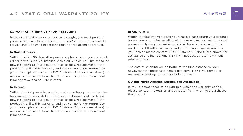

#### **IX. WARRANTY SERVICE FROM RESELLERS**

In the event that a warranty service is sought, you must provide proof of purchase (store receipt or invoice) in order to receive the service and if deemed necessary, repair or replacement product.

#### **In North America:**

Within the first 60 days after purchase, please return your product (or for power supplies installed within our enclosures, just the failed power supply) to your dealer or reseller for a replacement. If the product is still within warranty and you can no longer return it to your dealer, please contact NZXT Customer Support (see above) for assistance and instructions. NZXT will not accept returns without prior approval and an RMA number.

#### **In Europe:**

Within the first year after purchase, please return your product (or for power supplies installed within our enclosures, just the failed power supply) to your dealer or reseller for a replacement. If the product is still within warranty and you can no longer return it to your dealer, please contact NZXT Customer Support (see above) for assistance and instructions. NZXT will not accept returns without prior approval.

#### **In Australasia:**

Within the first two years after purchase, please return your product (or for power supplies installed within our enclosures, just the failed power supply) to your dealer or reseller for a replacement. If the product is still within warranty and you can no longer return it to your dealer, please contact NZXT Customer Support (see above) for assistance and instructions. NZXT will not accept returns without prior approval.

The cost of shipping will be borne at the first instance by you; however, if the purchased item is defective, NZXT will reimburse reasonable postage or transportation of costs.

#### **Outside North America, Europe, and Australasia:**

If your product needs to be returned within the warranty period, please contact the retailer or distributor from whom you purchased the product.

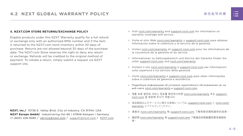高性能导热膏

#### **X. NZXT.COM STORE RETURNS/EXCHANGE POLICY**

Eligible products under this NZXT Warranty qualify for a full refund or exchange only with an authorized RMA number and if the item is returned to the NZXT.com store inventory within 30 days of purchase. Returns are not allowed beyond 30 days of the purchase date. The NZXT.com Store reserves the right to deny any return or exchange. Refunds will be credited to the original method of payment. To initiate a return, simply submit a request via NZXT support site.

- > Visit [nzxt.com/warranty](http://nzxt.com/warranty) and [support.nzxt.com](http://support.nzxt.com) for information on warranty coverage and service.
- > Visite el sitio Web [nzxt.com/warranty](http://nzxt.com/warranty) y [support.nzxt.com](http://support.nzxt.com) para obtener información sobre la cobertura y el servicio de la garantía.
- > Visitez [nzxt.com/warranty](http://nzxt.com/warranty) et [support.nzxt.com](http://support.nzxt.com) pour les informations de la couverture de la garantie et du service.
- > Informationen zu Geltungsbereich und Service der Garantie finden Sie unter [support.nzxt.com](http://support.nzxt.com) und [nzxt.com/warranty.](http://nzxt.com/warranty)
- > Visitare il sito [nzxt.com/warranty](http://nzxt.com/warranty) e [support.nzxt.com](http://support.nzxt.com) per informazioni sulla copertura e sul servizio della garanzia.
- > Visite [nzxt.com/warranty](http://nzxt.com/warranty) e [support.nzxt.com](http://support.nzxt.com) para obter informações sobre a cobertura da garantia e assistência.
- > Подробную информацию об условиях гарантийного обслуживания см. на веб-сайте [nzxt.com/warranty](http://nzxt.com/warranty) и [support.nzxt.com](http://support.nzxt.com).
- > 제품 보증 범위와 서비스 정보를 확인하시려면 [nzxt.com/warranty](http://nzxt.com/warranty) 또는 [support.](http://support.nzxt.com) [nzxt.com](http://support.nzxt.com) 을 방문해 주시기 바랍니다.
- > 保証範囲およびサービスに関する情報については、[support.nzxt.com](http://support.nzxt.com) と [nzxt.com/](http://nzxt.com/warranty) [warranty](http://nzxt.com/warranty) にアクセスしてください。
- > 请造访 nzxt.com/warranty 和 [support.nzxt.com](http://support.nzxt.com) 了解保修范围和服务的信息。
- > 請訪問 [nzxt.com/warranty](http://nzxt.com/warranty) 和 [support.nzxt.com](http://support.nzxt.com) 了解產品保固範圍和更多服務訊 息。



**NZXT, Inc./** 15736 E. Valley Blvd, City of Industry, CA 91744, USA **NZXT Europe GmbH/** Industriering Ost 66 | 47906 Kempen | Germany +1 (800) 228-9395 / service@nzxt.com / [support@nzxt.com](mailto:support%40nzxt.com?subject=) / NZX[T.com](http://nzxt.com)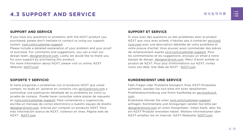

## <span id="page-15-0"></span>4.3 SUPPORT AND SERVICE **And a security of the Security And And SERVICE contract a security and a security of the SERVICE**

#### **SUPPORT AND SERVICE**

If you have any questions or problems with the NZXT product you purchased, please don't hesitate to contact us using our support system. [nzxt.com/customer-support](http://nzxt.com/customer-support)

Please include a detailed explanation of your problem and your proof of purchase. For comments and suggestions, you can e-mail our design team, [designer@nzxt.com.](mailto:designer%40nzxt.com?subject=) Lastly we would like to thank you for your support by purchasing this product.

For more information about NZXT, please visit us online. NZXT Website: NZX[T.com](http://nzxt.com)

#### **SOPORTE Y SERVICIO**

Si tiene preguntas o problemas con el producto NZXT que usted compró, no dude en ponerse en contacto con [service@nzxt.com](mailto:service%40nzxt.com?subject=) y suministrar una explicación detallada de su problema así como su prueba de compra. Puede hacer consultas sobre piezas de repuesto en [nzxt.com/customer-support.](http://nzxt.com/customer-support) Para comentarios y sugerencias, escriba un mensaje de correo electrónico a nuestro equipo de diseño: [designer@nzxt.com.](mailto:designer%40nzxt.com?subject=) Gracias por comprar un producto NZXT. Para más información acerca de NZXT, visítenos en línea. Página web de NZXT: NZX[T.com](http://nzxt.com)



#### **SUPPORT ET SERVICE**

Si vous avez des questions ou des problèmes avec le produit NZXT que vous avez acheté, n'hésitez pas à contacter service@ nzxt.com avec une description détaillée de votre problème et votre preuve d'achat. Vous pouvez aussi commander des pièces de remplacement auprès [nzxt.com/customer-support.](http://nzxt.com/customer-support) Pour les commentaires et les suggestions, envoyez un email à notre équipe de design, [designer@nzxt.com.](mailto:designer%40nzxt.com?subject=) Merci d'avoir acheté ce produit de NZXT. Pour plus d'informations sur NZXT, visitez notre site Web. Site Web de NZXT : NZX[T.com](http://nzxt.com)

#### **KUNDENDIENST UND SERVICE**

Falls Fragen oder Probleme bezüglich Ihres NZXT-Produktes auftreten, wenden Sie sich bitte mit einer detaillierten Problembeschreibung und Ihrem Kaufbeleg an [service@nzxt.](mailto:service%40nzxt.com?subject=) [com](mailto:service%40nzxt.com?subject=).

Ersatzteile können Sie unter [nzxt.com/customer-support](http://nzxt.com/customer-support) anfragen. Kommentare und Anregungen senden Sie bitte per [designer@nzxt.com](mailto:designer%40nzxt.com?subject=) an unser Designteam. Vielen Dank, dass Sie ein NZXT-Produkt erworben haben. Weitere Informationen über NZXT erhalten Sie im Internet. NZXT-Webseite: NZX[T.com](http://nzxt.com)

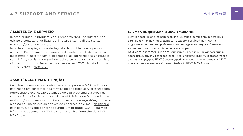#### **ASSISTENZA E SERVIZIO**

In caso di dubbi o problemi con il prodotto NZXT acquistato, non esitate a contattarci utilizzando il nostro sistema di assistenza. [nzxt.com/customer-support](http://nzxt.com/customer-support)

Includere una spiegazione dettagliata del problema e la prova di acquisto. Per commenti e suggerimenti, siete pregati di inviare un messaggio al nostro team di progettisti, all'indirizzo: [designer@nzxt.](mailto:designer%40nzxt.com?subject=) [com](mailto:designer%40nzxt.com?subject=). Infine, vogliamo ringraziarvi del vostro supporto con l'acquisto di questo prodotto. Per altre informazioni su NZXT, visitate il nostro sito. Sito NZXT: NZX[T.com](http://nzxt.com)

#### **ASSISTÊNCIA E MANUTENÇÃO**

Caso tenha questões ou problemas com o produto NZXT adquirido, não hesite em contactar-nos através do endereço [service@nzxt.com](mailto:service%40nzxt.com?subject=) fornecendo a explicação detalhada do seu problema e a prova de compra. Poderá solicitar peças de substituição através do endereço [nzxt.com/customer-support.](http://nzxt.com/customer-support) Para comentários e sugestões, contacte a nossa equipa de design através do endereço de e-mail, [designer@](mailto:designer%40nzxt.com?subject=) [nzxt.com.](mailto:designer%40nzxt.com?subject=) Obrigado por ter adquirido um produto NZXT. Para mais informações acerca da NZXT, visite-nos online. Web site da NZXT: NZX[T.com](http://nzxt.com)



#### **СЛУЖБА ПОДДЕРЖКИ И ОБСЛУЖИВАНИЯ**

В случае возникновения вопросов или неисправностей в приобретенных вами продуктах NZXT обращайтесь по адресу: [service@nzxt.com](mailto:service%40nzxt.com?subject=) с подробным описанием проблемы и подтверждением покупки. О наличии запчастей можно узнать, обратившись по адресу:

[nzxt.com/customer-support](http://nzxt.com/customer-support). Замечания и предложения отправляйте в адрес нашей группы разработчиков: [designer@nzxt.com](mailto:designer%40nzxt.com?subject=). Благодарим вас за покупку продукта NZXT. Более подробная информация о компании NZXT представлена на наших веб-сайтах. Веб-сайт NZXT: NZX[T.com](http://nzxt.com)

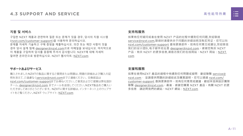













#### **지원 및 서비스**

구입한 NZXT 제품과 관련하여 질문 또는 문제가 있을 경우, 당사의 지원 시스템 ([nzxt.com/customer-support\)](http://nzxt.com/customer-support)을 사용하여 문의하십시오. 문제를 자세히 기술하고 구매 증빙을 제출하십시오. 의견 또는 제안 사항이 잇을 경우 당사 설계 팀에 [designer@nzxt.com](mailto:designer%40nzxt.com?subject=)으로 이메일을 보내십시오. 마지막으로 이 제품을 구입하여 당사를 응원해 주셔서 감사합니다. NZXT에 대해 자세히 알려면 온라인으로 방문하십시오. NZXT 웹사이트: NZX[T.com](http://nzxt.com)

#### **サポートおよびサービス**

購入されましたNZXTの製品に関するご質問または問題は、問題の詳細および購入の証 明を添えて、ご遠慮なく[service@nzxt.com](mailto:service%40nzxt.com?subject=)までご連絡ください。交換部品は [nzxt.com/customer-support](http://nzxt.com/customer-support)までお尋ねください。ご意見およびご提案は弊社設計 チーム、[designer@nzxt.com](mailto:designer%40nzxt.com?subject=) までメールを送信してください。NZXT製品をご購入い ただきましてありがとうございます。 NZXTに関する詳細は、インターネット上のウェブサ イトをご覧ください。NZXT ウェブサイト: NZX[T.com](http://nzxt.com)

#### **支持和服务**

如果有任何疑问或者在使用 NZXT 产品的过程中遇到任何问题,欢迎联络 [service@nzxt.com,](mailto:service%40nzxt.com?subject=)联络时请提供关于问题的详细说明及购买凭证。您可以向 [nzxt.com/customer-support](http://nzxt.com/customer-support) 查询更换部件。如有任何意见或建议,欢迎致信 我们的设计团队,电子邮件地址是 designer@nzxt.com。感谢您购买 NZXT 产品。有关 NZXT 的更多信息,请造访我们的在线网站。NZXT 网站:NZX[T.](http://nzxt.com) [com](http://nzxt.com)

#### **支援和服務**

如果在使用NZXT 產品的過程中有遇到任何問題或疑問, 歡迎聯繫 [service@](mailto:service%40nzxt.com?subject=) [nzxt.com](mailto:service%40nzxt.com?subject=), 並請提供問題的詳細敘述及購買證明。您可以透過 [nzxt.com/](http://nzxt.com/customer-support) [customer-support](http://nzxt.com/customer-support) 查詢更換部件。如有任何意見或建議,歡迎來信與設計團隊 聯繫 designer@nzxt.com。最後,感謝您購買 NZXT 產品。有關 NZXT 的更 多信息,請訪問我們的網站。NZXT 網站: NZXT.com







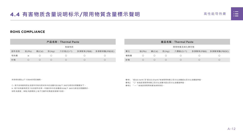

## <span id="page-18-0"></span>4.4 有害物质含量说明标示/限用物質含量標示聲明 高性能导热膏

#### **ROHS COMPLIANCE**

○: 表示该有害物质在该部件所有均质材料中的含量均在GB/T 26572规定的限量要求下。 ✕: 表示该有害物质至少在该部件的某一均值材料中的含量超出GB/T 26572官定的限量要求。 说明:电路板:单板/电路模块上电子元器件的陶瓷或玻璃中含铅。



本表格依据SJ/T 11364的规定编制。

| 产品名称: Thermal Paste |          |            |            |                        | 產品名稱: Thermal Paste |             |     |            |       |            |                        |  |                       |
|---------------------|----------|------------|------------|------------------------|---------------------|-------------|-----|------------|-------|------------|------------------------|--|-----------------------|
| 有害物质                |          |            |            |                        |                     | 限用物質及其化學符號  |     |            |       |            |                        |  |                       |
| 部件名称                | 铅(Pb)    | 镉(Cd)      | 汞(Hg)      | 六价铬(Cr <sup>+6</sup> ) | 多溴联苯(PBB)           | 多溴联苯醚(PBDE) | 單元  | 鉛(Pb)      | 鎘(Cd) | 汞(Hg)      | 六價鉻(Cr <sup>+6</sup> ) |  | 多溴聯苯(PBB) 多溴聯苯醚(PBDE) |
| 导热膏                 | $\times$ |            | $\bigcirc$ |                        |                     |             | 導熱膏 |            |       |            |                        |  |                       |
| 针筒                  |          | $\bigcirc$ | $\bigcirc$ |                        |                     |             | 針筒  | $\bigcirc$ |       | $\bigcirc$ |                        |  |                       |

備考1. "超出0.1wt%"及"超出0.01wt%"係指限用物質之百分比含量超出百分比含量基準值。

備考2. "○" 係指該項限用物質之百分比含量未超出百分比含量基準值。

備考3. " — " 係指該項限用物質為排除項目。